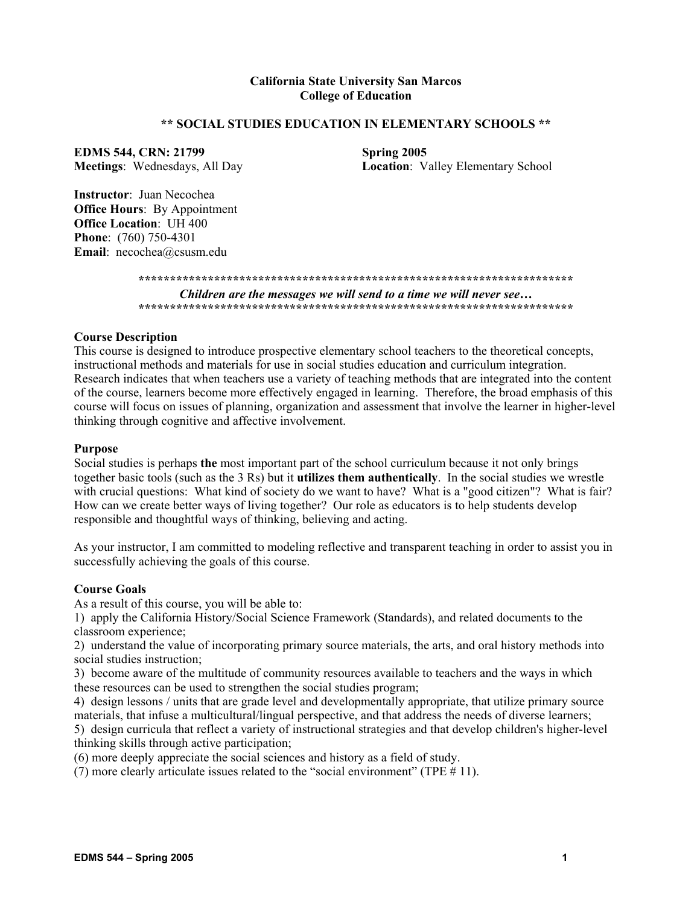## **California State University San Marcos College of Education**

## **\*\* SOCIAL STUDIES EDUCATION IN ELEMENTARY SCHOOLS \*\***

**EDMS 544, CRN: 21799** Spring 2005

**Meetings**: Wednesdays, All Day **Location**: Valley Elementary School

**Instructor**: Juan Necochea **Office Hours**: By Appointment **Office Location**: UH 400 **Phone**: (760) 750-4301 **Email**: necochea@csusm.edu

> **\*\*\*\*\*\*\*\*\*\*\*\*\*\*\*\*\*\*\*\*\*\*\*\*\*\*\*\*\*\*\*\*\*\*\*\*\*\*\*\*\*\*\*\*\*\*\*\*\*\*\*\*\*\*\*\*\*\*\*\*\*\*\*\*\*\*\*\*\***  *Children are the messages we will send to a time we will never see…*  **\*\*\*\*\*\*\*\*\*\*\*\*\*\*\*\*\*\*\*\*\*\*\*\*\*\*\*\*\*\*\*\*\*\*\*\*\*\*\*\*\*\*\*\*\*\*\*\*\*\*\*\*\*\*\*\*\*\*\*\*\*\*\*\*\*\*\*\*\***

### **Course Description**

This course is designed to introduce prospective elementary school teachers to the theoretical concepts, instructional methods and materials for use in social studies education and curriculum integration. Research indicates that when teachers use a variety of teaching methods that are integrated into the content of the course, learners become more effectively engaged in learning. Therefore, the broad emphasis of this course will focus on issues of planning, organization and assessment that involve the learner in higher-level thinking through cognitive and affective involvement.

#### **Purpose**

Social studies is perhaps **the** most important part of the school curriculum because it not only brings together basic tools (such as the 3 Rs) but it **utilizes them authentically**. In the social studies we wrestle with crucial questions: What kind of society do we want to have? What is a "good citizen"? What is fair? How can we create better ways of living together? Our role as educators is to help students develop responsible and thoughtful ways of thinking, believing and acting.

As your instructor, I am committed to modeling reflective and transparent teaching in order to assist you in successfully achieving the goals of this course.

#### **Course Goals**

As a result of this course, you will be able to:

1) apply the California History/Social Science Framework (Standards), and related documents to the classroom experience;

2) understand the value of incorporating primary source materials, the arts, and oral history methods into social studies instruction;

3) become aware of the multitude of community resources available to teachers and the ways in which these resources can be used to strengthen the social studies program;

4) design lessons / units that are grade level and developmentally appropriate, that utilize primary source materials, that infuse a multicultural/lingual perspective, and that address the needs of diverse learners; 5) design curricula that reflect a variety of instructional strategies and that develop children's higher-level thinking skills through active participation;

(6) more deeply appreciate the social sciences and history as a field of study.

(7) more clearly articulate issues related to the "social environment" (TPE  $# 11$ ).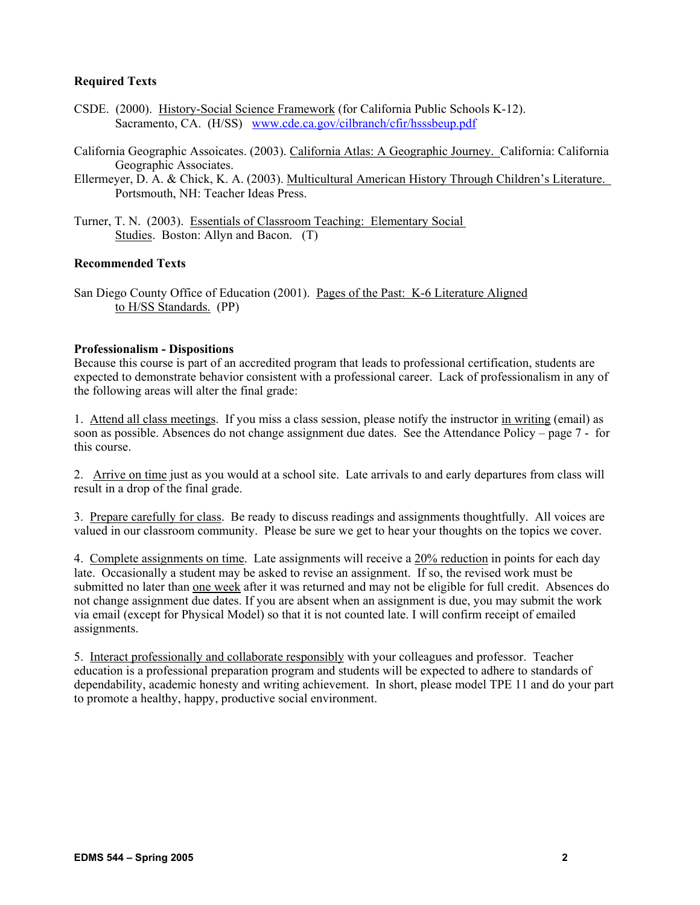## **Required Texts**

- CSDE. (2000). History-Social Science Framework (for California Public Schools K-12). Sacramento, CA. (H/SS) www.cde.ca.gov/cilbranch/cfir/hsssbeup.pdf
- California Geographic Assoicates. (2003). California Atlas: A Geographic Journey. California: California Geographic Associates.
- Ellermeyer, D. A. & Chick, K. A. (2003). Multicultural American History Through Children's Literature. Portsmouth, NH: Teacher Ideas Press.
- Turner, T. N. (2003). Essentials of Classroom Teaching: Elementary Social Studies. Boston: Allyn and Bacon. (T)

## **Recommended Texts**

San Diego County Office of Education (2001). Pages of the Past: K-6 Literature Aligned to H/SS Standards. (PP)

### **Professionalism - Dispositions**

Because this course is part of an accredited program that leads to professional certification, students are expected to demonstrate behavior consistent with a professional career. Lack of professionalism in any of the following areas will alter the final grade:

1. Attend all class meetings. If you miss a class session, please notify the instructor in writing (email) as soon as possible. Absences do not change assignment due dates. See the Attendance Policy – page 7 - for this course.

2. Arrive on time just as you would at a school site. Late arrivals to and early departures from class will result in a drop of the final grade.

3. Prepare carefully for class. Be ready to discuss readings and assignments thoughtfully. All voices are valued in our classroom community. Please be sure we get to hear your thoughts on the topics we cover.

4. Complete assignments on time. Late assignments will receive a 20% reduction in points for each day late. Occasionally a student may be asked to revise an assignment. If so, the revised work must be submitted no later than one week after it was returned and may not be eligible for full credit. Absences do not change assignment due dates. If you are absent when an assignment is due, you may submit the work via email (except for Physical Model) so that it is not counted late. I will confirm receipt of emailed assignments.

5. Interact professionally and collaborate responsibly with your colleagues and professor. Teacher education is a professional preparation program and students will be expected to adhere to standards of dependability, academic honesty and writing achievement. In short, please model TPE 11 and do your part to promote a healthy, happy, productive social environment.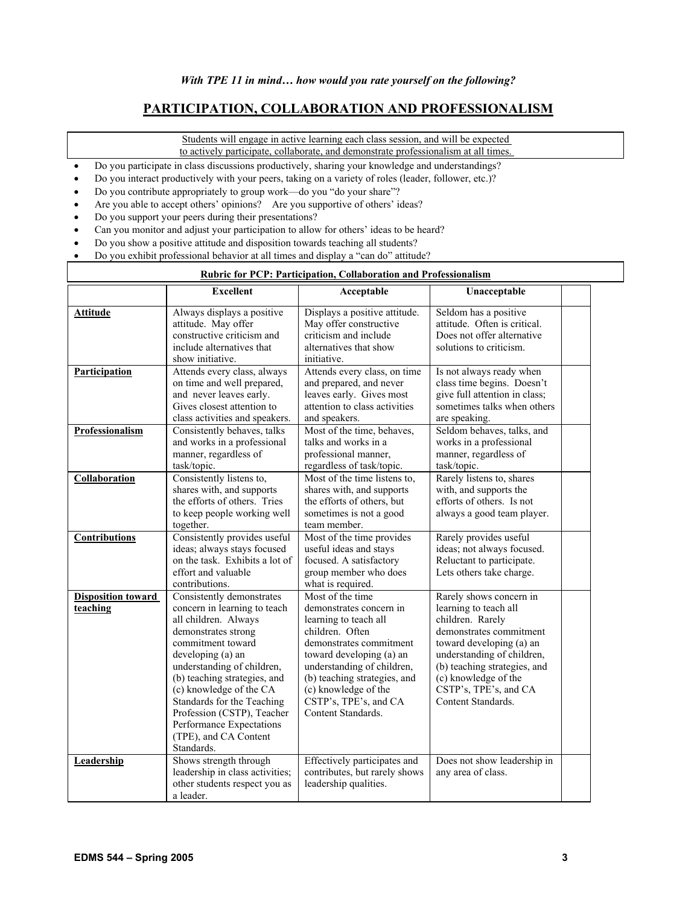# **PARTICIPATION, COLLABORATION AND PROFESSIONALISM**

Students will engage in active learning each class session, and will be expected to actively participate, collaborate, and demonstrate professionalism at all times.

- Do you participate in class discussions productively, sharing your knowledge and understandings?
- Do you interact productively with your peers, taking on a variety of roles (leader, follower, etc.)?
- Do you contribute appropriately to group work—do you "do your share"?
- Are you able to accept others' opinions? Are you supportive of others' ideas?
- Do you support your peers during their presentations?
- Can you monitor and adjust your participation to allow for others' ideas to be heard?
- Do you show a positive attitude and disposition towards teaching all students?
- Do you exhibit professional behavior at all times and display a "can do" attitude?

## **Rubric for PCP: Participation, Collaboration and Professionalism**

|                                       | <b>Excellent</b>                                                                                                                                                                                                                                                                                                                                                           | Acceptable                                                                                                                                                                                                                                                                          | Unacceptable                                                                                                                                                                                                                                                    |  |
|---------------------------------------|----------------------------------------------------------------------------------------------------------------------------------------------------------------------------------------------------------------------------------------------------------------------------------------------------------------------------------------------------------------------------|-------------------------------------------------------------------------------------------------------------------------------------------------------------------------------------------------------------------------------------------------------------------------------------|-----------------------------------------------------------------------------------------------------------------------------------------------------------------------------------------------------------------------------------------------------------------|--|
| Attitude                              | Always displays a positive<br>attitude. May offer<br>constructive criticism and<br>include alternatives that<br>show initiative.                                                                                                                                                                                                                                           | Displays a positive attitude.<br>May offer constructive<br>criticism and include<br>alternatives that show<br>initiative.                                                                                                                                                           | Seldom has a positive<br>attitude. Often is critical.<br>Does not offer alternative<br>solutions to criticism.                                                                                                                                                  |  |
| Participation                         | Attends every class, always<br>on time and well prepared,<br>and never leaves early.<br>Gives closest attention to<br>class activities and speakers.                                                                                                                                                                                                                       | Attends every class, on time<br>and prepared, and never<br>leaves early. Gives most<br>attention to class activities<br>and speakers.                                                                                                                                               | Is not always ready when<br>class time begins. Doesn't<br>give full attention in class;<br>sometimes talks when others<br>are speaking.                                                                                                                         |  |
| Professionalism                       | Consistently behaves, talks<br>and works in a professional<br>manner, regardless of<br>task/topic.                                                                                                                                                                                                                                                                         | Most of the time, behaves,<br>talks and works in a<br>professional manner,<br>regardless of task/topic.                                                                                                                                                                             | Seldom behaves, talks, and<br>works in a professional<br>manner, regardless of<br>task/topic.                                                                                                                                                                   |  |
| Collaboration                         | Consistently listens to,<br>shares with, and supports<br>the efforts of others. Tries<br>to keep people working well<br>together.                                                                                                                                                                                                                                          | Most of the time listens to,<br>shares with, and supports<br>the efforts of others, but<br>sometimes is not a good<br>team member.                                                                                                                                                  | Rarely listens to, shares<br>with, and supports the<br>efforts of others. Is not<br>always a good team player.                                                                                                                                                  |  |
| <b>Contributions</b>                  | Consistently provides useful<br>ideas; always stays focused<br>on the task. Exhibits a lot of<br>effort and valuable<br>contributions.                                                                                                                                                                                                                                     | Most of the time provides<br>useful ideas and stays<br>focused. A satisfactory<br>group member who does<br>what is required.                                                                                                                                                        | Rarely provides useful<br>ideas; not always focused.<br>Reluctant to participate.<br>Lets others take charge.                                                                                                                                                   |  |
| <b>Disposition toward</b><br>teaching | Consistently demonstrates<br>concern in learning to teach<br>all children. Always<br>demonstrates strong<br>commitment toward<br>developing (a) an<br>understanding of children,<br>(b) teaching strategies, and<br>(c) knowledge of the CA<br>Standards for the Teaching<br>Profession (CSTP), Teacher<br>Performance Expectations<br>(TPE), and CA Content<br>Standards. | Most of the time<br>demonstrates concern in<br>learning to teach all<br>children. Often<br>demonstrates commitment<br>toward developing (a) an<br>understanding of children,<br>(b) teaching strategies, and<br>(c) knowledge of the<br>CSTP's, TPE's, and CA<br>Content Standards. | Rarely shows concern in<br>learning to teach all<br>children. Rarely<br>demonstrates commitment<br>toward developing (a) an<br>understanding of children,<br>(b) teaching strategies, and<br>(c) knowledge of the<br>CSTP's, TPE's, and CA<br>Content Standards |  |
| Leadership                            | Shows strength through<br>leadership in class activities;<br>other students respect you as<br>a leader.                                                                                                                                                                                                                                                                    | Effectively participates and<br>contributes, but rarely shows<br>leadership qualities.                                                                                                                                                                                              | Does not show leadership in<br>any area of class.                                                                                                                                                                                                               |  |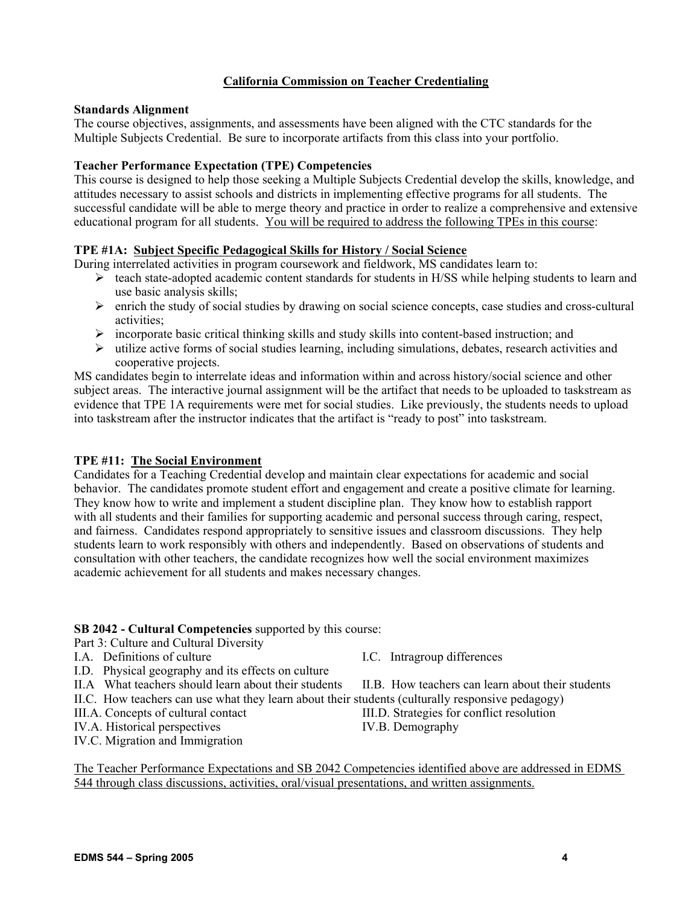# **California Commission on Teacher Credentialing**

## **Standards Alignment**

The course objectives, assignments, and assessments have been aligned with the CTC standards for the Multiple Subjects Credential. Be sure to incorporate artifacts from this class into your portfolio.

## **Teacher Performance Expectation (TPE) Competencies**

This course is designed to help those seeking a Multiple Subjects Credential develop the skills, knowledge, and attitudes necessary to assist schools and districts in implementing effective programs for all students. The successful candidate will be able to merge theory and practice in order to realize a comprehensive and extensive educational program for all students. You will be required to address the following TPEs in this course:

## **TPE #1A: Subject Specific Pedagogical Skills for History / Social Science**

During interrelated activities in program coursework and fieldwork, MS candidates learn to:

- ¾ teach state-adopted academic content standards for students in H/SS while helping students to learn and use basic analysis skills;
- $\triangleright$  enrich the study of social studies by drawing on social science concepts, case studies and cross-cultural activities;
- $\triangleright$  incorporate basic critical thinking skills and study skills into content-based instruction; and
- $\triangleright$  utilize active forms of social studies learning, including simulations, debates, research activities and cooperative projects.

MS candidates begin to interrelate ideas and information within and across history/social science and other subject areas. The interactive journal assignment will be the artifact that needs to be uploaded to taskstream as evidence that TPE 1A requirements were met for social studies. Like previously, the students needs to upload into taskstream after the instructor indicates that the artifact is "ready to post" into taskstream.

### **TPE #11: The Social Environment**

Candidates for a Teaching Credential develop and maintain clear expectations for academic and social behavior. The candidates promote student effort and engagement and create a positive climate for learning. They know how to write and implement a student discipline plan. They know how to establish rapport with all students and their families for supporting academic and personal success through caring, respect, and fairness. Candidates respond appropriately to sensitive issues and classroom discussions. They help students learn to work responsibly with others and independently. Based on observations of students and consultation with other teachers, the candidate recognizes how well the social environment maximizes academic achievement for all students and makes necessary changes.

### **SB 2042 - Cultural Competencies** supported by this course:

Part 3: Culture and Cultural Diversity

- I.A. Definitions of culture I.C. Intragroup differences
- I.D. Physical geography and its effects on culture
- II.A What teachers should learn about their students II.B. How teachers can learn about their students
- II.C. How teachers can use what they learn about their students (culturally responsive pedagogy)
- III.A. Concepts of cultural contact III.D. Strategies for conflict resolution
- IV.A. Historical perspectives IV.B. Demography
- IV.C. Migration and Immigration
- 
- 

- 
- 

The Teacher Performance Expectations and SB 2042 Competencies identified above are addressed in EDMS 544 through class discussions, activities, oral/visual presentations, and written assignments.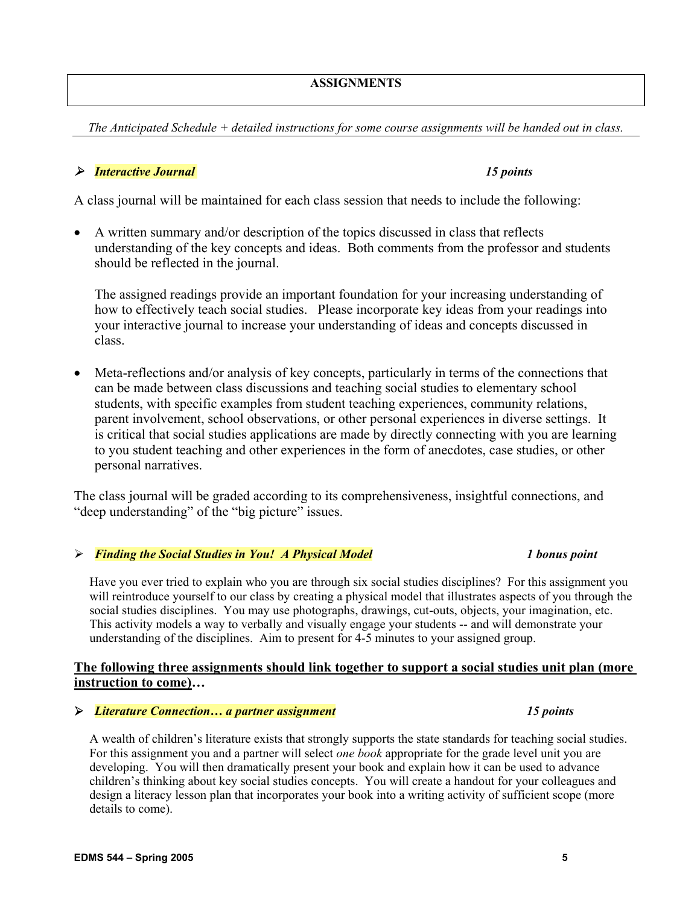## **ASSIGNMENTS**

*The Anticipated Schedule + detailed instructions for some course assignments will be handed out in class.* 

# ¾ *Interactive Journal 15 points*

A class journal will be maintained for each class session that needs to include the following:

• A written summary and/or description of the topics discussed in class that reflects understanding of the key concepts and ideas. Both comments from the professor and students should be reflected in the journal.

The assigned readings provide an important foundation for your increasing understanding of how to effectively teach social studies. Please incorporate key ideas from your readings into your interactive journal to increase your understanding of ideas and concepts discussed in class.

• Meta-reflections and/or analysis of key concepts, particularly in terms of the connections that can be made between class discussions and teaching social studies to elementary school students, with specific examples from student teaching experiences, community relations, parent involvement, school observations, or other personal experiences in diverse settings. It is critical that social studies applications are made by directly connecting with you are learning to you student teaching and other experiences in the form of anecdotes, case studies, or other personal narratives.

The class journal will be graded according to its comprehensiveness, insightful connections, and "deep understanding" of the "big picture" issues.

# ¾ *Finding the Social Studies in You! A Physical Model 1 bonus point*

Have you ever tried to explain who you are through six social studies disciplines? For this assignment you will reintroduce yourself to our class by creating a physical model that illustrates aspects of you through the social studies disciplines. You may use photographs, drawings, cut-outs, objects, your imagination, etc. This activity models a way to verbally and visually engage your students -- and will demonstrate your understanding of the disciplines. Aim to present for 4-5 minutes to your assigned group.

# **The following three assignments should link together to support a social studies unit plan (more instruction to come)…**

# ¾ *Literature Connection… a partner assignment 15 points*

A wealth of children's literature exists that strongly supports the state standards for teaching social studies. For this assignment you and a partner will select *one book* appropriate for the grade level unit you are developing. You will then dramatically present your book and explain how it can be used to advance children's thinking about key social studies concepts. You will create a handout for your colleagues and design a literacy lesson plan that incorporates your book into a writing activity of sufficient scope (more details to come).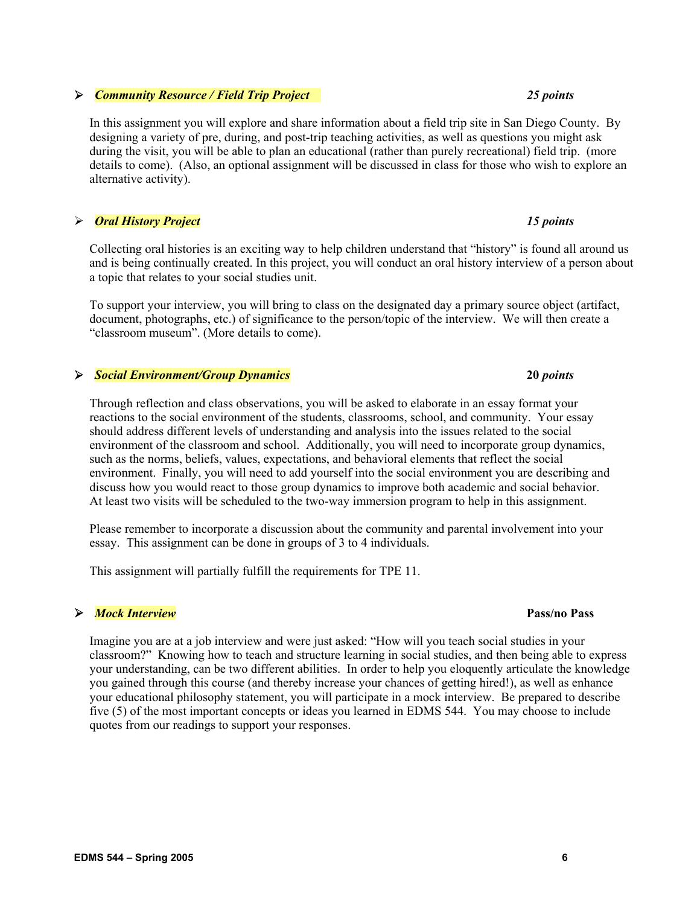# ¾ *Community Resource / Field Trip Project 25 points*

In this assignment you will explore and share information about a field trip site in San Diego County. By designing a variety of pre, during, and post-trip teaching activities, as well as questions you might ask during the visit, you will be able to plan an educational (rather than purely recreational) field trip. (more details to come). (Also, an optional assignment will be discussed in class for those who wish to explore an alternative activity).

## ¾ *Oral History Project 15 points*

Collecting oral histories is an exciting way to help children understand that "history" is found all around us and is being continually created. In this project, you will conduct an oral history interview of a person about a topic that relates to your social studies unit.

To support your interview, you will bring to class on the designated day a primary source object (artifact, document, photographs, etc.) of significance to the person/topic of the interview. We will then create a "classroom museum". (More details to come).

## ¾ *Social Environment/Group Dynamics* **20** *points*

Through reflection and class observations, you will be asked to elaborate in an essay format your reactions to the social environment of the students, classrooms, school, and community. Your essay should address different levels of understanding and analysis into the issues related to the social environment of the classroom and school. Additionally, you will need to incorporate group dynamics, such as the norms, beliefs, values, expectations, and behavioral elements that reflect the social environment. Finally, you will need to add yourself into the social environment you are describing and discuss how you would react to those group dynamics to improve both academic and social behavior. At least two visits will be scheduled to the two-way immersion program to help in this assignment.

Please remember to incorporate a discussion about the community and parental involvement into your essay. This assignment can be done in groups of 3 to 4 individuals.

This assignment will partially fulfill the requirements for TPE 11.

## ¾ *Mock Interview* **Pass/no Pass**

Imagine you are at a job interview and were just asked: "How will you teach social studies in your classroom?" Knowing how to teach and structure learning in social studies, and then being able to express your understanding, can be two different abilities. In order to help you eloquently articulate the knowledge you gained through this course (and thereby increase your chances of getting hired!), as well as enhance your educational philosophy statement, you will participate in a mock interview. Be prepared to describe five (5) of the most important concepts or ideas you learned in EDMS 544. You may choose to include quotes from our readings to support your responses.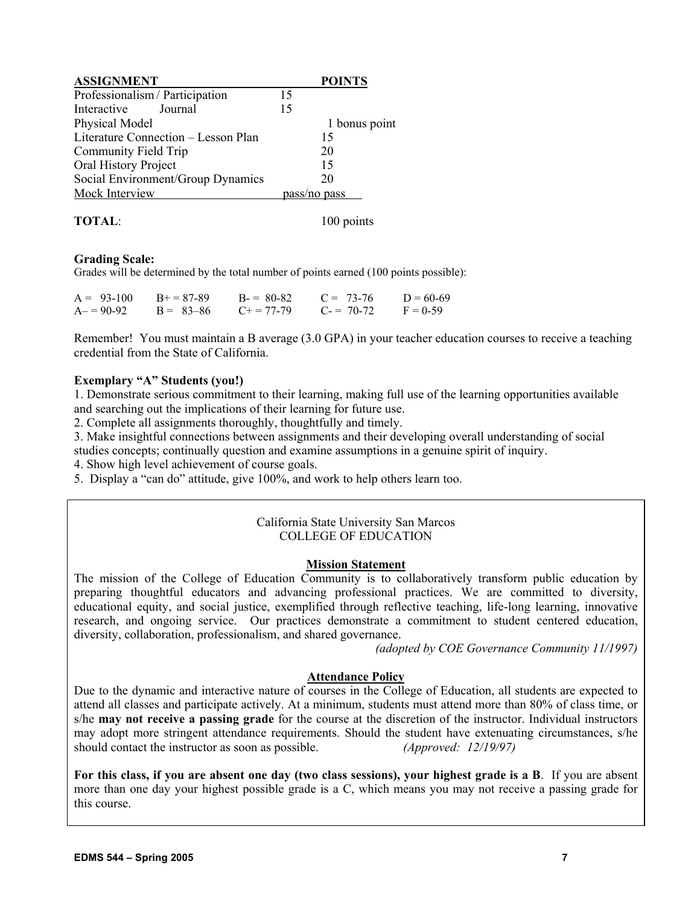| <b>ASSIGNMENT</b>                   |              | <b>POINTS</b> |
|-------------------------------------|--------------|---------------|
| Professionalism / Participation     | 15           |               |
| Interactive<br>Journal              | 15           |               |
| Physical Model                      |              | 1 bonus point |
| Literature Connection - Lesson Plan |              | 15            |
| Community Field Trip                |              | 20            |
| Oral History Project                |              | 15            |
| Social Environment/Group Dynamics   |              | 20            |
| Mock Interview                      | pass/no pass |               |

## **TOTAL:** 100 points

## **Grading Scale:**

Grades will be determined by the total number of points earned (100 points possible):

| $A = 93-100$ | $B+=87-89$    | $B = 80-82$         | $C = 73-76$ | $D = 60-69$ |
|--------------|---------------|---------------------|-------------|-------------|
| $A = 90-92$  | $B = 83 - 86$ | $C_{\pm} = 77 - 79$ | $C = 70-72$ | $F = 0.59$  |

Remember! You must maintain a B average (3.0 GPA) in your teacher education courses to receive a teaching credential from the State of California.

## **Exemplary "A" Students (you!)**

1. Demonstrate serious commitment to their learning, making full use of the learning opportunities available and searching out the implications of their learning for future use.

2. Complete all assignments thoroughly, thoughtfully and timely.

3. Make insightful connections between assignments and their developing overall understanding of social studies concepts; continually question and examine assumptions in a genuine spirit of inquiry.

4. Show high level achievement of course goals.

5. Display a "can do" attitude, give 100%, and work to help others learn too.

## California State University San Marcos COLLEGE OF EDUCATION

## **Mission Statement**

The mission of the College of Education Community is to collaboratively transform public education by preparing thoughtful educators and advancing professional practices. We are committed to diversity, educational equity, and social justice, exemplified through reflective teaching, life-long learning, innovative research, and ongoing service. Our practices demonstrate a commitment to student centered education, diversity, collaboration, professionalism, and shared governance.

*(adopted by COE Governance Community 11/1997)*

## **Attendance Policy**

Due to the dynamic and interactive nature of courses in the College of Education, all students are expected to attend all classes and participate actively. At a minimum, students must attend more than 80% of class time, or s/he **may not receive a passing grade** for the course at the discretion of the instructor. Individual instructors may adopt more stringent attendance requirements. Should the student have extenuating circumstances, s/he should contact the instructor as soon as possible. *(Approved: 12/19/97)*

**For this class, if you are absent one day (two class sessions), your highest grade is a B**. If you are absent more than one day your highest possible grade is a C, which means you may not receive a passing grade for this course.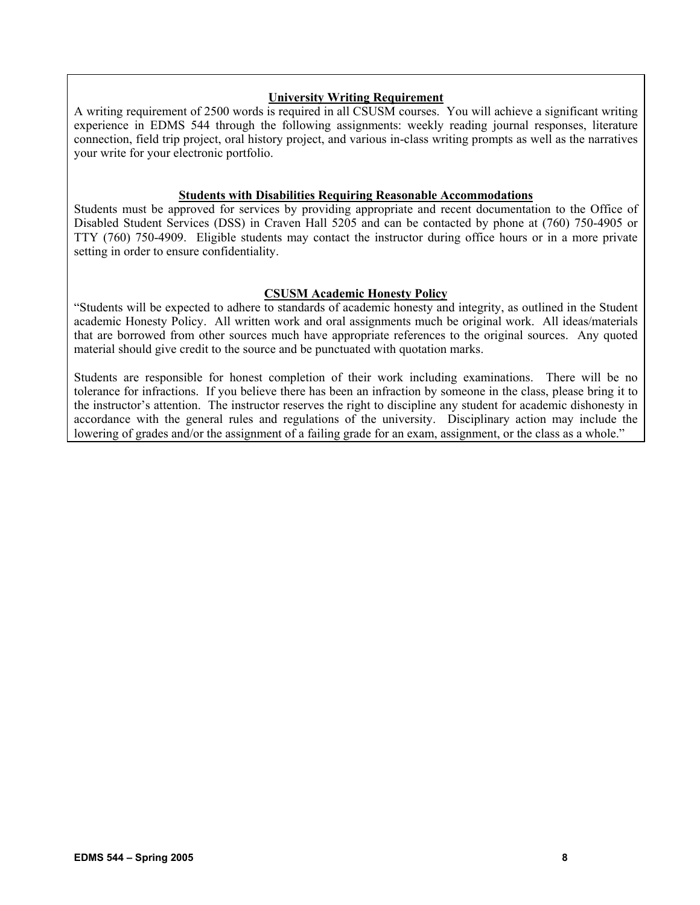# **University Writing Requirement**

A writing requirement of 2500 words is required in all CSUSM courses. You will achieve a significant writing experience in EDMS 544 through the following assignments: weekly reading journal responses, literature connection, field trip project, oral history project, and various in-class writing prompts as well as the narratives your write for your electronic portfolio.

## **Students with Disabilities Requiring Reasonable Accommodations**

Students must be approved for services by providing appropriate and recent documentation to the Office of Disabled Student Services (DSS) in Craven Hall 5205 and can be contacted by phone at (760) 750-4905 or TTY (760) 750-4909. Eligible students may contact the instructor during office hours or in a more private setting in order to ensure confidentiality.

## **CSUSM Academic Honesty Policy**

"Students will be expected to adhere to standards of academic honesty and integrity, as outlined in the Student academic Honesty Policy. All written work and oral assignments much be original work. All ideas/materials that are borrowed from other sources much have appropriate references to the original sources. Any quoted material should give credit to the source and be punctuated with quotation marks.

Students are responsible for honest completion of their work including examinations. There will be no tolerance for infractions. If you believe there has been an infraction by someone in the class, please bring it to the instructor's attention. The instructor reserves the right to discipline any student for academic dishonesty in accordance with the general rules and regulations of the university. Disciplinary action may include the lowering of grades and/or the assignment of a failing grade for an exam, assignment, or the class as a whole."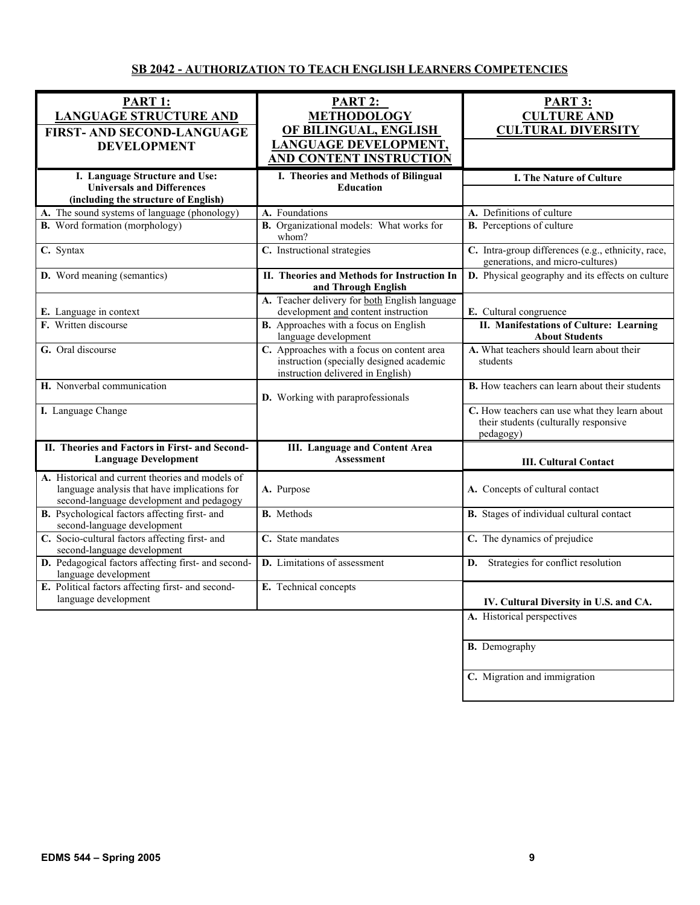# **SB 2042 - AUTHORIZATION TO TEACH ENGLISH LEARNERS COMPETENCIES**

| <b>PART 1:</b><br><b>LANGUAGE STRUCTURE AND</b><br><b>FIRST- AND SECOND-LANGUAGE</b>                                                         | PART 2:<br><b>METHODOLOGY</b><br>OF BILINGUAL, ENGLISH                                                                      | <b>PART 3:</b><br><b>CULTURE AND</b><br><b>CULTURAL DIVERSITY</b>                                   |
|----------------------------------------------------------------------------------------------------------------------------------------------|-----------------------------------------------------------------------------------------------------------------------------|-----------------------------------------------------------------------------------------------------|
| <b>DEVELOPMENT</b>                                                                                                                           | <b>LANGUAGE DEVELOPMENT,</b><br><b>AND CONTENT INSTRUCTION</b>                                                              |                                                                                                     |
| I. Language Structure and Use:<br><b>Universals and Differences</b><br>(including the structure of English)                                  | I. Theories and Methods of Bilingual<br><b>Education</b>                                                                    | I. The Nature of Culture                                                                            |
| A. The sound systems of language (phonology)                                                                                                 | A. Foundations                                                                                                              | A. Definitions of culture                                                                           |
| <b>B.</b> Word formation (morphology)                                                                                                        | B. Organizational models: What works for<br>whom?                                                                           | <b>B.</b> Perceptions of culture                                                                    |
| C. Syntax                                                                                                                                    | C. Instructional strategies                                                                                                 | C. Intra-group differences (e.g., ethnicity, race,<br>generations, and micro-cultures)              |
| D. Word meaning (semantics)                                                                                                                  | II. Theories and Methods for Instruction In<br>and Through English                                                          | D. Physical geography and its effects on culture                                                    |
| E. Language in context                                                                                                                       | A. Teacher delivery for both English language<br>development and content instruction                                        | E. Cultural congruence                                                                              |
| F. Written discourse                                                                                                                         | <b>B.</b> Approaches with a focus on English<br>language development                                                        | II. Manifestations of Culture: Learning<br><b>About Students</b>                                    |
| G. Oral discourse                                                                                                                            | C. Approaches with a focus on content area<br>instruction (specially designed academic<br>instruction delivered in English) | A. What teachers should learn about their<br>students                                               |
| H. Nonverbal communication                                                                                                                   | D. Working with paraprofessionals                                                                                           | <b>B.</b> How teachers can learn about their students                                               |
| I. Language Change                                                                                                                           |                                                                                                                             | C. How teachers can use what they learn about<br>their students (culturally responsive<br>pedagogy) |
| II. Theories and Factors in First- and Second-<br><b>Language Development</b>                                                                | <b>III.</b> Language and Content Area<br><b>Assessment</b>                                                                  | <b>III. Cultural Contact</b>                                                                        |
| A. Historical and current theories and models of<br>language analysis that have implications for<br>second-language development and pedagogy | A. Purpose                                                                                                                  | A. Concepts of cultural contact                                                                     |
| B. Psychological factors affecting first- and<br>second-language development                                                                 | <b>B.</b> Methods                                                                                                           | B. Stages of individual cultural contact                                                            |
| C. Socio-cultural factors affecting first- and<br>second-language development                                                                | C. State mandates                                                                                                           | C. The dynamics of prejudice                                                                        |
| D. Pedagogical factors affecting first- and second-<br>language development                                                                  | D. Limitations of assessment                                                                                                | Strategies for conflict resolution<br>D.                                                            |
| E. Political factors affecting first- and second-<br>language development                                                                    | E. Technical concepts                                                                                                       | IV. Cultural Diversity in U.S. and CA.                                                              |
|                                                                                                                                              |                                                                                                                             | A. Historical perspectives                                                                          |
|                                                                                                                                              |                                                                                                                             | <b>B.</b> Demography                                                                                |
|                                                                                                                                              |                                                                                                                             | C. Migration and immigration                                                                        |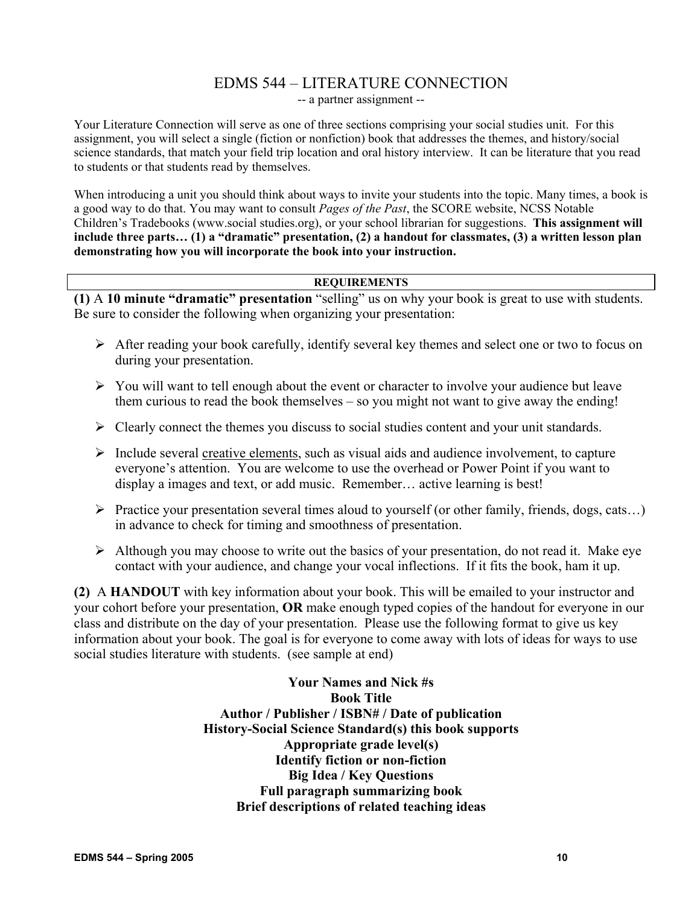# EDMS 544 – LITERATURE CONNECTION -- a partner assignment --

Your Literature Connection will serve as one of three sections comprising your social studies unit. For this assignment, you will select a single (fiction or nonfiction) book that addresses the themes, and history/social science standards, that match your field trip location and oral history interview. It can be literature that you read to students or that students read by themselves.

When introducing a unit you should think about ways to invite your students into the topic. Many times, a book is a good way to do that. You may want to consult *Pages of the Past*, the SCORE website, NCSS Notable Children's Tradebooks (www.social studies.org), or your school librarian for suggestions. **This assignment will include three parts… (1) a "dramatic" presentation, (2) a handout for classmates, (3) a written lesson plan demonstrating how you will incorporate the book into your instruction.** 

# **REQUIREMENTS**

**(1)** A **10 minute "dramatic" presentation** "selling" us on why your book is great to use with students. Be sure to consider the following when organizing your presentation:

- $\triangleright$  After reading your book carefully, identify several key themes and select one or two to focus on during your presentation.
- $\triangleright$  You will want to tell enough about the event or character to involve your audience but leave them curious to read the book themselves – so you might not want to give away the ending!
- $\triangleright$  Clearly connect the themes you discuss to social studies content and your unit standards.
- $\triangleright$  Include several creative elements, such as visual aids and audience involvement, to capture everyone's attention. You are welcome to use the overhead or Power Point if you want to display a images and text, or add music. Remember… active learning is best!
- ¾ Practice your presentation several times aloud to yourself (or other family, friends, dogs, cats…) in advance to check for timing and smoothness of presentation.
- $\triangleright$  Although you may choose to write out the basics of your presentation, do not read it. Make eye contact with your audience, and change your vocal inflections. If it fits the book, ham it up.

**(2)** A **HANDOUT** with key information about your book. This will be emailed to your instructor and your cohort before your presentation, **OR** make enough typed copies of the handout for everyone in our class and distribute on the day of your presentation. Please use the following format to give us key information about your book. The goal is for everyone to come away with lots of ideas for ways to use social studies literature with students. (see sample at end)

> **Your Names and Nick #s Book Title Author / Publisher / ISBN# / Date of publication History-Social Science Standard(s) this book supports Appropriate grade level(s) Identify fiction or non-fiction Big Idea / Key Questions Full paragraph summarizing book Brief descriptions of related teaching ideas**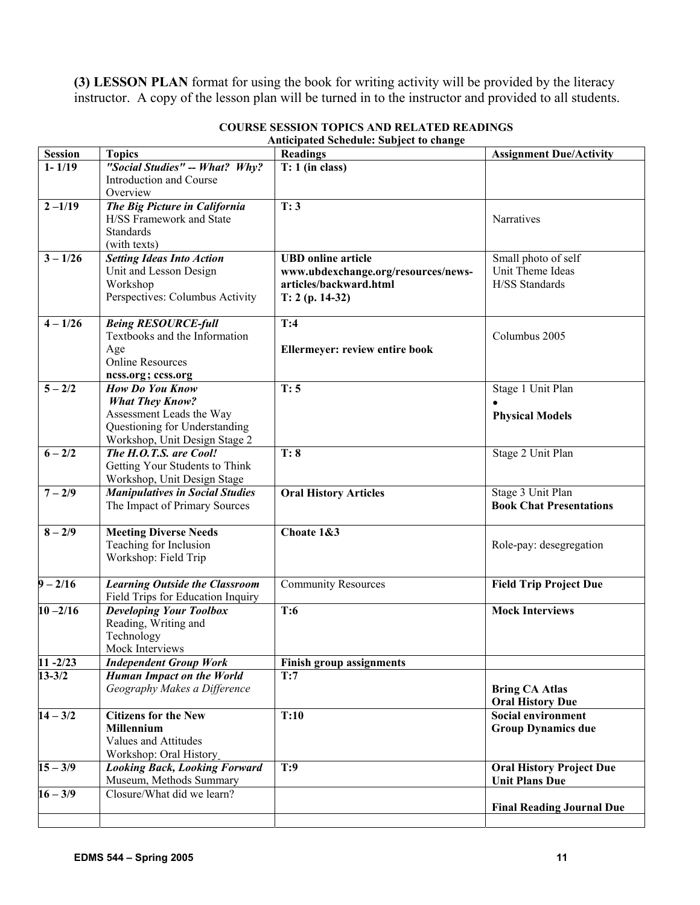**(3) LESSON PLAN** format for using the book for writing activity will be provided by the literacy instructor. A copy of the lesson plan will be turned in to the instructor and provided to all students.

| <b>Session</b> | <b>Topics</b>                                                  | <b>Readings</b>                       | <b>Assignment Due/Activity</b>   |
|----------------|----------------------------------------------------------------|---------------------------------------|----------------------------------|
| $1 - 1/19$     | "Social Studies" -- What? Why?                                 | $T: 1$ (in class)                     |                                  |
|                | Introduction and Course                                        |                                       |                                  |
|                | Overview                                                       |                                       |                                  |
| $2 - 1/19$     | The Big Picture in California                                  | T:3                                   |                                  |
|                | H/SS Framework and State                                       |                                       | Narratives                       |
|                | <b>Standards</b>                                               |                                       |                                  |
|                | (with texts)                                                   |                                       |                                  |
| $3 - 1/26$     | <b>Setting Ideas Into Action</b>                               | <b>UBD</b> online article             | Small photo of self              |
|                | Unit and Lesson Design                                         | www.ubdexchange.org/resources/news-   | Unit Theme Ideas                 |
|                | Workshop                                                       | articles/backward.html                | H/SS Standards                   |
|                | Perspectives: Columbus Activity                                | $T: 2 (p. 14-32)$                     |                                  |
| $4 - 1/26$     | <b>Being RESOURCE-full</b>                                     | T:4                                   |                                  |
|                | Textbooks and the Information                                  |                                       | Columbus 2005                    |
|                | Age                                                            | <b>Ellermeyer: review entire book</b> |                                  |
|                | <b>Online Resources</b>                                        |                                       |                                  |
|                | ncss.org; ccss.org                                             |                                       |                                  |
| $5 - 2/2$      | <b>How Do You Know</b>                                         | T:5                                   | Stage 1 Unit Plan                |
|                | <b>What They Know?</b>                                         |                                       |                                  |
|                | Assessment Leads the Way                                       |                                       | <b>Physical Models</b>           |
|                | Questioning for Understanding<br>Workshop, Unit Design Stage 2 |                                       |                                  |
| $6 - 2/2$      | The H.O.T.S. are Cool!                                         | T: 8                                  | Stage 2 Unit Plan                |
|                | Getting Your Students to Think                                 |                                       |                                  |
|                | Workshop, Unit Design Stage                                    |                                       |                                  |
| $7 - 2/9$      | <b>Manipulatives in Social Studies</b>                         | <b>Oral History Articles</b>          | Stage 3 Unit Plan                |
|                | The Impact of Primary Sources                                  |                                       | <b>Book Chat Presentations</b>   |
|                |                                                                |                                       |                                  |
| $8 - 2/9$      | <b>Meeting Diverse Needs</b>                                   | Choate 1&3                            |                                  |
|                | Teaching for Inclusion                                         |                                       | Role-pay: desegregation          |
|                | Workshop: Field Trip                                           |                                       |                                  |
|                |                                                                |                                       |                                  |
| $9 - 2/16$     | <b>Learning Outside the Classroom</b>                          | <b>Community Resources</b>            | <b>Field Trip Project Due</b>    |
|                | Field Trips for Education Inquiry                              |                                       |                                  |
| $10 - 2/16$    | <b>Developing Your Toolbox</b>                                 | T:6                                   | <b>Mock Interviews</b>           |
|                | Reading, Writing and                                           |                                       |                                  |
|                | Technology<br>Mock Interviews                                  |                                       |                                  |
| $11 - 2/23$    | <b>Independent Group Work</b>                                  | <b>Finish group assignments</b>       |                                  |
| $13 - 3/2$     | <b>Human Impact on the World</b>                               | T:7                                   |                                  |
|                | Geography Makes a Difference                                   |                                       | <b>Bring CA Atlas</b>            |
|                |                                                                |                                       | <b>Oral History Due</b>          |
| $14 - 3/2$     | <b>Citizens for the New</b>                                    | T:10                                  | <b>Social environment</b>        |
|                | Millennium                                                     |                                       | <b>Group Dynamics due</b>        |
|                | Values and Attitudes                                           |                                       |                                  |
|                | Workshop: Oral History                                         |                                       |                                  |
| $15 - 3/9$     | <b>Looking Back, Looking Forward</b>                           | T:9                                   | <b>Oral History Project Due</b>  |
|                | Museum, Methods Summary                                        |                                       | <b>Unit Plans Due</b>            |
| $16 - 3/9$     | Closure/What did we learn?                                     |                                       |                                  |
|                |                                                                |                                       | <b>Final Reading Journal Due</b> |
|                |                                                                |                                       |                                  |

## **COURSE SESSION TOPICS AND RELATED READINGS Anticipated Schedule: Subject to change**